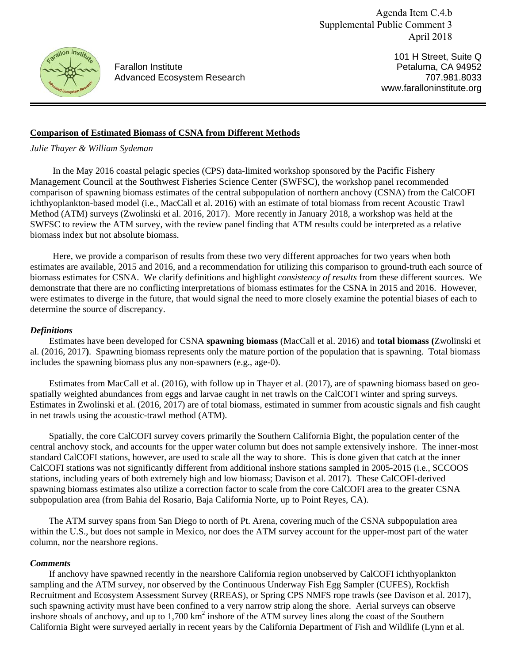Agenda Item C.4.b Supplemental Public Comment 3 April 2018



Farallon Institute Advanced Ecosystem Research

101 H Street, Suite Q Petaluma, CA 94952 707.981.8033 www.faralloninstitute.org

# **Comparison of Estimated Biomass of CSNA from Different Methods**

*Julie Thayer & William Sydeman* 

In the May 2016 coastal pelagic species (CPS) data-limited workshop sponsored by the Pacific Fishery Management Council at the Southwest Fisheries Science Center (SWFSC), the workshop panel recommended comparison of spawning biomass estimates of the central subpopulation of northern anchovy (CSNA) from the CalCOFI ichthyoplankton-based model (i.e., MacCall et al. 2016) with an estimate of total biomass from recent Acoustic Trawl Method (ATM) surveys (Zwolinski et al. 2016, 2017). More recently in January 2018, a workshop was held at the SWFSC to review the ATM survey, with the review panel finding that ATM results could be interpreted as a relative biomass index but not absolute biomass.

Here, we provide a comparison of results from these two very different approaches for two years when both estimates are available, 2015 and 2016, and a recommendation for utilizing this comparison to ground-truth each source of biomass estimates for CSNA. We clarify definitions and highlight *consistency of results* from these different sources. We demonstrate that there are no conflicting interpretations of biomass estimates for the CSNA in 2015 and 2016. However, were estimates to diverge in the future, that would signal the need to more closely examine the potential biases of each to determine the source of discrepancy.

## *Definitions*

Estimates have been developed for CSNA **spawning biomass** (MacCall et al. 2016) and **total biomass (**Zwolinski et al. (2016, 2017**)**. Spawning biomass represents only the mature portion of the population that is spawning. Total biomass includes the spawning biomass plus any non-spawners (e.g., age-0).

Estimates from MacCall et al. (2016), with follow up in Thayer et al. (2017), are of spawning biomass based on geospatially weighted abundances from eggs and larvae caught in net trawls on the CalCOFI winter and spring surveys. Estimates in Zwolinski et al. (2016, 2017) are of total biomass, estimated in summer from acoustic signals and fish caught in net trawls using the acoustic-trawl method (ATM).

Spatially, the core CalCOFI survey covers primarily the Southern California Bight, the population center of the central anchovy stock, and accounts for the upper water column but does not sample extensively inshore. The inner-most standard CalCOFI stations, however, are used to scale all the way to shore. This is done given that catch at the inner CalCOFI stations was not significantly different from additional inshore stations sampled in 2005-2015 (i.e., SCCOOS stations, including years of both extremely high and low biomass; Davison et al. 2017). These CalCOFI-derived spawning biomass estimates also utilize a correction factor to scale from the core CalCOFI area to the greater CSNA subpopulation area (from Bahia del Rosario, Baja California Norte, up to Point Reyes, CA).

The ATM survey spans from San Diego to north of Pt. Arena, covering much of the CSNA subpopulation area within the U.S., but does not sample in Mexico, nor does the ATM survey account for the upper-most part of the water column, nor the nearshore regions.

### *Comments*

If anchovy have spawned recently in the nearshore California region unobserved by CalCOFI ichthyoplankton sampling and the ATM survey, nor observed by the Continuous Underway Fish Egg Sampler (CUFES), Rockfish Recruitment and Ecosystem Assessment Survey (RREAS), or Spring CPS NMFS rope trawls (see Davison et al. 2017), such spawning activity must have been confined to a very narrow strip along the shore. Aerial surveys can observe inshore shoals of anchovy, and up to  $1,700 \text{ km}^2$  inshore of the ATM survey lines along the coast of the Southern California Bight were surveyed aerially in recent years by the California Department of Fish and Wildlife (Lynn et al.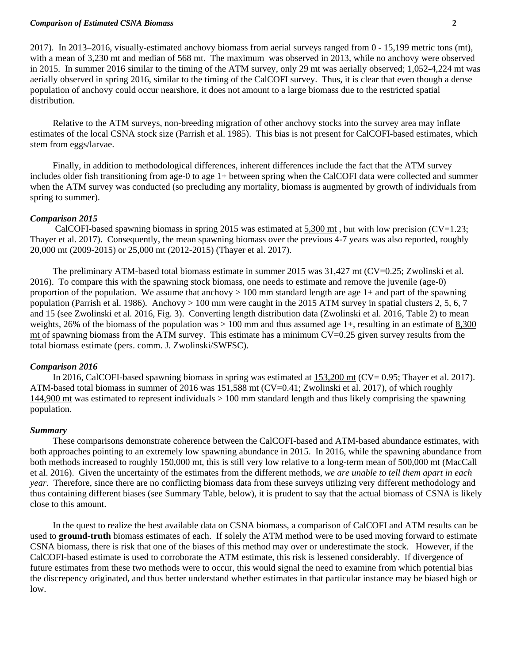#### *Comparison of Estimated CSNA Biomass* **2**

2017). In 2013–2016, visually-estimated anchovy biomass from aerial surveys ranged from 0 - 15,199 metric tons (mt), with a mean of 3,230 mt and median of 568 mt. The maximum was observed in 2013, while no anchovy were observed in 2015. In summer 2016 similar to the timing of the ATM survey, only 29 mt was aerially observed; 1,052-4,224 mt was aerially observed in spring 2016, similar to the timing of the CalCOFI survey. Thus, it is clear that even though a dense population of anchovy could occur nearshore, it does not amount to a large biomass due to the restricted spatial distribution.

Relative to the ATM surveys, non-breeding migration of other anchovy stocks into the survey area may inflate estimates of the local CSNA stock size (Parrish et al. 1985). This bias is not present for CalCOFI-based estimates, which stem from eggs/larvae.

Finally, in addition to methodological differences, inherent differences include the fact that the ATM survey includes older fish transitioning from age-0 to age 1+ between spring when the CalCOFI data were collected and summer when the ATM survey was conducted (so precluding any mortality, biomass is augmented by growth of individuals from spring to summer).

### *Comparison 2015*

CalCOFI-based spawning biomass in spring 2015 was estimated at 5,300 mt, but with low precision (CV=1.23; Thayer et al. 2017). Consequently, the mean spawning biomass over the previous 4-7 years was also reported, roughly 20,000 mt (2009-2015) or 25,000 mt (2012-2015) (Thayer et al. 2017).

The preliminary ATM-based total biomass estimate in summer 2015 was 31,427 mt (CV=0.25; Zwolinski et al. 2016). To compare this with the spawning stock biomass, one needs to estimate and remove the juvenile (age-0) proportion of the population. We assume that anchovy  $> 100$  mm standard length are age 1+ and part of the spawning population (Parrish et al. 1986). Anchovy  $> 100$  mm were caught in the 2015 ATM survey in spatial clusters 2, 5, 6, 7 and 15 (see Zwolinski et al. 2016, Fig. 3). Converting length distribution data (Zwolinski et al. 2016, Table 2) to mean weights, 26% of the biomass of the population was  $> 100$  mm and thus assumed age 1+, resulting in an estimate of 8,300 mt of spawning biomass from the ATM survey. This estimate has a minimum  $CV=0.25$  given survey results from the total biomass estimate (pers. comm. J. Zwolinski/SWFSC).

### *Comparison 2016*

In 2016, CalCOFI-based spawning biomass in spring was estimated at 153,200 mt (CV= 0.95; Thayer et al. 2017). ATM-based total biomass in summer of 2016 was 151,588 mt (CV=0.41; Zwolinski et al. 2017), of which roughly 144,900 mt was estimated to represent individuals > 100 mm standard length and thus likely comprising the spawning population.

### *Summary*

These comparisons demonstrate coherence between the CalCOFI-based and ATM-based abundance estimates, with both approaches pointing to an extremely low spawning abundance in 2015. In 2016, while the spawning abundance from both methods increased to roughly 150,000 mt, this is still very low relative to a long-term mean of 500,000 mt (MacCall et al. 2016). Given the uncertainty of the estimates from the different methods, *we are unable to tell them apart in each year*. Therefore, since there are no conflicting biomass data from these surveys utilizing very different methodology and thus containing different biases (see Summary Table, below), it is prudent to say that the actual biomass of CSNA is likely close to this amount.

In the quest to realize the best available data on CSNA biomass, a comparison of CalCOFI and ATM results can be used to **ground-truth** biomass estimates of each. If solely the ATM method were to be used moving forward to estimate CSNA biomass, there is risk that one of the biases of this method may over or underestimate the stock. However, if the CalCOFI-based estimate is used to corroborate the ATM estimate, this risk is lessened considerably. If divergence of future estimates from these two methods were to occur, this would signal the need to examine from which potential bias the discrepency originated, and thus better understand whether estimates in that particular instance may be biased high or low.